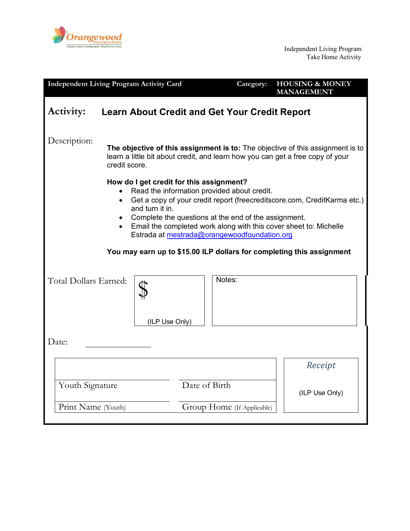

| <b>Independent Living Program Activity Card</b>                                                                                                                                                                                                                                                                                                                                                                                                                          |                |               | Category: | <b>HOUSING &amp; MONEY</b><br><b>MANAGEMENT</b> |
|--------------------------------------------------------------------------------------------------------------------------------------------------------------------------------------------------------------------------------------------------------------------------------------------------------------------------------------------------------------------------------------------------------------------------------------------------------------------------|----------------|---------------|-----------|-------------------------------------------------|
| <b>Activity:</b><br><b>Learn About Credit and Get Your Credit Report</b>                                                                                                                                                                                                                                                                                                                                                                                                 |                |               |           |                                                 |
| Description:<br>The objective of this assignment is to: The objective of this assignment is to<br>learn a little bit about credit, and learn how you can get a free copy of your<br>credit score.                                                                                                                                                                                                                                                                        |                |               |           |                                                 |
| How do I get credit for this assignment?<br>Read the information provided about credit.<br>Get a copy of your credit report (freecreditscore.com, CreditKarma etc.)<br>$\bullet$<br>and turn it in.<br>Complete the questions at the end of the assignment.<br>$\bullet$<br>• Email the completed work along with this cover sheet to: Michelle<br>Estrada at mestrada@orangewoodfoundation.org<br>You may earn up to \$15.00 ILP dollars for completing this assignment |                |               |           |                                                 |
| Total Dollars Earned:                                                                                                                                                                                                                                                                                                                                                                                                                                                    | (ILP Use Only) | Notes:        |           |                                                 |
| Date:                                                                                                                                                                                                                                                                                                                                                                                                                                                                    |                |               |           |                                                 |
|                                                                                                                                                                                                                                                                                                                                                                                                                                                                          |                |               |           | Receipt                                         |
| Youth Signature                                                                                                                                                                                                                                                                                                                                                                                                                                                          |                | Date of Birth |           | (ILP Use Only)                                  |
| Print Name (Youth)<br>Group Home (If Applicable)                                                                                                                                                                                                                                                                                                                                                                                                                         |                |               |           |                                                 |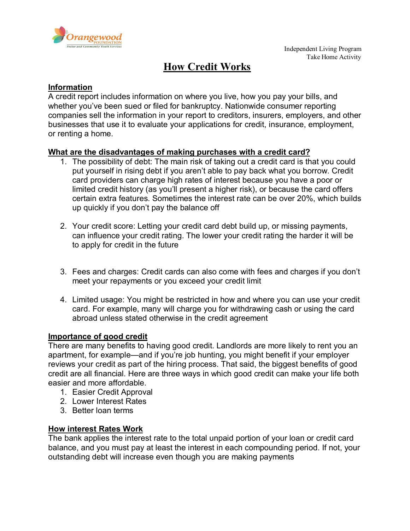

# **How Credit Works**

#### **Information**

A credit report includes information on where you live, how you pay your bills, and whether you've been sued or filed for bankruptcy. Nationwide consumer reporting companies sell the information in your report to creditors, insurers, employers, and other businesses that use it to evaluate your applications for credit, insurance, employment, or renting a home.

#### **What are the disadvantages of making purchases with a credit card?**

- 1. The possibility of debt: The main risk of taking out a credit card is that you could put yourself in rising debt if you aren't able to pay back what you borrow. Credit card providers can charge high rates of interest because you have a poor or limited credit history (as you'll present a higher risk), or because the card offers certain extra features. Sometimes the interest rate can be over 20%, which builds up quickly if you don't pay the balance off
- 2. Your credit score: Letting your credit card debt build up, or missing payments, can influence your credit rating. The lower your credit rating the harder it will be to apply for credit in the future
- 3. Fees and charges: Credit cards can also come with fees and charges if you don't meet your repayments or you exceed your credit limit
- 4. Limited usage: You might be restricted in how and where you can use your credit card. For example, many will charge you for withdrawing cash or using the card abroad unless stated otherwise in the credit agreement

#### **Importance of good credit**

There are many benefits to having good credit. Landlords are more likely to rent you an apartment, for example—and if you're job hunting, you might benefit if your employer reviews your credit as part of the hiring process. That said, the biggest benefits of good credit are all financial. Here are three ways in which good credit can make your life both easier and more affordable.

- 1. Easier Credit Approval
- 2. Lower Interest Rates
- 3. Better loan terms

#### **How interest Rates Work**

The bank applies the interest rate to the total unpaid portion of your loan or credit card balance, and you must pay at least the interest in each compounding period. If not, your outstanding debt will increase even though you are making payments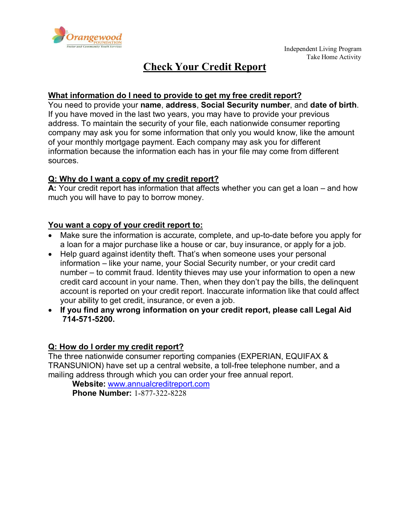

## **Check Your Credit Report**

#### **What information do I need to provide to get my free credit report?**

You need to provide your **name**, **address**, **Social Security number**, and **date of birth**. If you have moved in the last two years, you may have to provide your previous address. To maintain the security of your file, each nationwide consumer reporting company may ask you for some information that only you would know, like the amount of your monthly mortgage payment. Each company may ask you for different information because the information each has in your file may come from different sources.

### **Q: Why do I want a copy of my credit report?**

**A:** Your credit report has information that affects whether you can get a loan – and how much you will have to pay to borrow money.

#### **You want a copy of your credit report to:**

- Make sure the information is accurate, complete, and up-to-date before you apply for a loan for a major purchase like a house or car, buy insurance, or apply for a job.
- Help guard against identity theft. That's when someone uses your personal information – like your name, your Social Security number, or your credit card number – to commit fraud. Identity thieves may use your information to open a new credit card account in your name. Then, when they don't pay the bills, the delinquent account is reported on your credit report. Inaccurate information like that could affect your ability to get credit, insurance, or even a job.
- **If you find any wrong information on your credit report, please call Legal Aid 714-571-5200.**

#### **Q: How do I order my credit report?**

The three nationwide consumer reporting companies (EXPERIAN, EQUIFAX & TRANSUNION) have set up a central website, a toll-free telephone number, and a mailing address through which you can order your free annual report.

**Website:** [www.annualcreditreport.com](http://www.annualcreditreport.com/) **Phone Number:** 1-877-322-8228